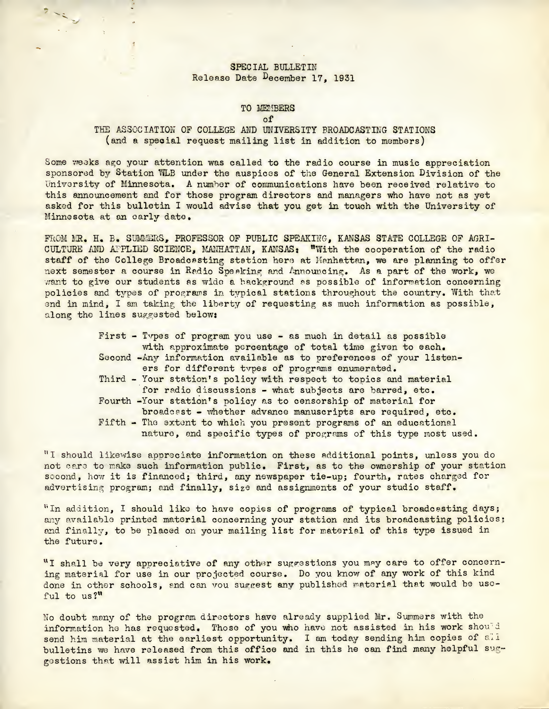# SPECIAL BULLETIN Release Date December 17, 1931

 $\begin{picture}(20,20) \put(0,0){\line(1,0){10}} \put(15,0){\line(1,0){10}} \put(15,0){\line(1,0){10}} \put(15,0){\line(1,0){10}} \put(15,0){\line(1,0){10}} \put(15,0){\line(1,0){10}} \put(15,0){\line(1,0){10}} \put(15,0){\line(1,0){10}} \put(15,0){\line(1,0){10}} \put(15,0){\line(1,0){10}} \put(15,0){\line(1,0){10}} \put(15,0){\line(1$ 

### TO MEMBERS

of

### THE ASSOCIATION OF COLLEGE AND UNIVERSITY BROADCASTING STATIONS (and <sup>a</sup> special request mailing list in addition to members)

Some weeks ago your attention was called to the radio course in music appreciation sponsored by Station WLB under the auspices of the General Extension Division of the University of Minnesota. <sup>A</sup> number of communications have been received relative to this announcement and for those program directors and managers who have not as yet asked for this bulletin I would advise that you get in touch with the University of Minnesota at an early date.

FROM MR. H. B. SUMMERS, PROFESSOR OF PUBLIC SPEAKING, KANSAS STATE COLLEGE OF AGRI-CULTURE AND APPLIED SCIENCE, MANHATTAN, KANSAS: "With the cooperation of the radio staff of the College Broadcasting station here at Manhattan, we are planning to offer next semester a course in Radio Speaking and Announcing. As a part of the work, we want to give our students as wide a background as possible of information concerning policies and types of programs in typical stations throughout the country. With that end in mind, I am taking the liberty of requesting as much information as possible, along the lines suggested below:

> First - Tvpes of program you use - as much in detail as possible with approximate percentage of total time given to each. Second -Any information available as to preferences of your listeners for different types of programs enumerated. Third - Your station's policy with respect to topics and material for radio discussions - what subjects are barred, etc. Fourth -Your station's policy as to censorship of material for broadcast - whether advance manuscripts are required, etc. Fifth - The extent to which you present programs of an educational nature, and specific types of programs of this type most used.

"I should likewise appreciate information on these additional points, unless you do not care to make such information public. First, as to the ownership of your station second, how it is financed; third, any newspaper tie-up; fourth, rates charged for advertising program; and finally, size and assignments of your studio staff.

"In addition, I should like to have copies of programs of typical broadcasting days; any available printed material concerning your station and its broadcasting policies; and finally, to be placed on your mailing list for material of this type issued in the future.

WI shall be very appreciative of any other suggestions you may care to offer concerning material for use in our projected course. Do you know of any work of this kind done in other schools, and can vou suggest any published material that would be usoful to us?"

No doubt many of the program directors have already supplied Mr. Summers with the information he has requested. Those of you who have not assisted in his work should send him material at the earliest opportunity. I am today sending him copies of all bulletins we have released from this office and in this he can find many helpful suggestions that will assist him in his work.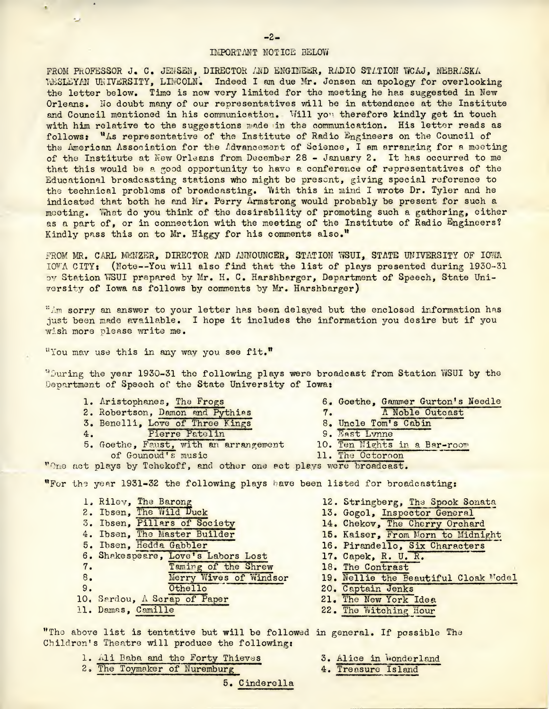#### IMPORTANT NOTICE BELOW

FROM PROFESSOR J. C. JENSEN, DIRECTOR AND ENGINEER, RADIO STATION WCAJ, NEBRASKA WESLEYAN UNIVERSITY, LINCOLN. Indeed I am due Mr. Jensen an apology for overlooking the letter below. Time is now very limited for the meeting he has suggested in New Orleans. No doubt many of our representatives will be in attendance at the Institute and Council mentioned in his communication. Will you therefore kindly get in touch with him relative to the suggestions made in the communication. His letter reads as follows: "As representative of the Institute of Radio Engineers on the Council of the American Association for the Advancement of Science, I am arranging for a meeting of the Institute at New Orleans from December <sup>28</sup> - January 2. It has occurred to me that this would be a good opportunity to have a conference of representatives of the Educational broadcasting stations who might be present, giving special reference to the technical problems of broadcasting. With this in mind I wrote Dr. Tyler and he indicated that both he and Mr. Perry Armstrong would probably be present for such a meeting. What do you think of the desirability of promoting such a gathering, either as a part of, or in connection with the meeting of the Institute of Radio Engineers? Kindly pass this on to Mr. Higgy for his comments also."

FROM MR. CARL MENZER, DIRECTOR AND ANNOUNCER, STATION WSUI, STATE UNIVERSITY OF IOWA IOWA CITY: (Note--You will also find that the list of plays presented during 1930-31 by Station WSUI prepared by Mr. H. C. Harshbarger, Department of Speech, State University of Iowa as follows by comments by Mr. Harshbarger)

"Am sorry an answer to your letter has been delayed but the enclosed information has just been made available. I hope it includes the information you desire but if you wish more please write me.

"You may use this in any way you see fit."

 $\bullet$ 

ب

''During the year 1930-31 the following plays were broadcast from Station WSUI by the Department of Speech of the State University of Iowa:

- 1. Aristophanes, The Frogs 2. Robertson, Damon and Pythias 3. Benelli, Love of Three Kings 4. Pierre Patelin
- 4. Pierre Patelin<br>5. Goethe, Faust, with an arrangement of Gounoud's music
- 6. Goethe, Gammer Gurton's Needle<br>7. A Noble Outcast 7. <sup>A</sup> Noble Outcast 8. Uncle Tom's Cabin
- 9. East Lynne
- 10. Ten Nights in <sup>a</sup> Bar-room 11. The Octoroon

"One act plays by Tchekoff, and other one act plays were broadcast.

wFor the year 1931-32 the following plays have been listed for broadcastings

- 1. Rilev, The Barong<br>2. Ibsen, The Wild Duck 3. Ibsen, Pillars of Society 4. Ibsen, The Master Builder 5. Ibsen, Hedda Gabbler 6. Shakespeare, Love's Labors Lost<br>7. Taming of the Shrev Taming of the Shrew 8. Merry Wives of Windsor<br>9. Othello 0thello 10. Sardou, <sup>A</sup> Scrap of Paper 11. Damas, Camille
- 12. Stringberg, The Spook Sonata 13. Gogol, Inspector General 14. Chekov, The Cherry Orchard 15. Kaiser, From Morn to Midnight 16. Pirandello, Six Characters 17. Capek, R. U. R. 18. The Contrast
- 
- 19. Nellie the Beautiful Cloak Model
- 20. Captain Jenks
- 21. The New York Idea
- 22. The Witching Hour

''The above list is tentative but will be followed in general. If possible The Children's Theatre will produce the followings

- 
- 1. Ali Baba and the Forty Thieves 3. Alice in Wonderland 2. The Toymaker of Nuremburg 4. Treasure Island 2. The Toymaker of Nuremburg

5. Cinderella

- 
- 

 $-2-$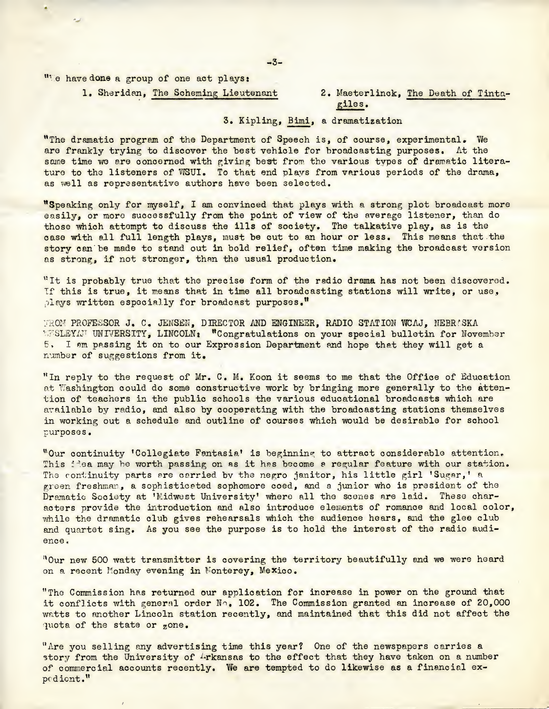"Te have done a group of one act plays:

1. Sheridan, The Scheming Lieutenant 2. Maeterlinck, The Death of Tinta-

giles.

# 3. Kipling, Bimi, <sup>a</sup> dramatization

"The dramatic program of the Department of Speech is, of course, experimental, We are frankly trying to discover the best vehicle for broadcasting purposes. At the same time we are concerned with giving best from the various types of dramatic literature to the listeners of WSUI. To that end plays from various periods of the drama, as well as representative authors have been selected.

"Speaking only for myself, I am convinced that plays with a strong plot broadcast more easily, or more successfully from the point of view of the average listener, than do those which attempt to discuss the ills of society. The talkative play, as is the case with all full length plays, must be cut to an hour or less. This means that the story can be made to stand out in bold relief, often time making the broadcast version as strong, if not stronger, than the usual production.

"It is probably true that the precise form of the radio drama has not been discovered. If this is true, it means that in time all broadcasting stations will write, or use, plays written especially for broadcast purposes."

FROM PROFESSOR J. C. JENSEN, DIRECTOR AND ENGINEER, RADIO STATION WCAJ, NEBRASKA WESLEYAT UNIVERSITY, LINCOLN: "Congratulations on your special bulletin for November <sup>5</sup>, <sup>I</sup> am passing it on to our Expression Department and hope that they will get <sup>a</sup> number of suggestions from it.

"In reply to the request of Mr. C. M. Koon it seems to me that the Office of Education at Washington could do some constructive work by bringing more generally to the attention of teachers in the public schools the various educational broadcasts which are available by radio, and also by cooperating with the broadcasting stations themselves in working out a schedule and outline of courses which would be desirable for school purposes.

"Our continuity Collegiate Fantasia\* is beginning to attract considerable attention. This fiea may be worth passing on as it has become a regular feature with our station. The continuity parts are carried by the negro janitor, his little girl 'Sugar,' a green freshman, a sophisticated sophomore coed, and a junior who is president of the Dramatic Society at 'Midwest University' where all the scenes are laid. These characters provide the introduction and also introduce elements of romance and local color, while the dramatic club gives rehearsals which the audience hears, and the glee club and quartet sing. As you see the purpose is to hold the interest of the radio audience.

"Our new <sup>500</sup> watt transmitter is covering the territory beautifully and we were heard on a recent Monday evening in Monterey, Mexico.

"The Commission has returned our application for increase in power on the ground that it conflicts with general order No. 102. The Commission granted an increase of 20,000 watts to another Lincoln station recently, and maintained that this did not affect the quota of the state or zone.

"Are you selling any advertising time this year? One of the newspapers carries a story from the University of  $4$ rkansas to the effect that they have taken on a number of commercial accounts recently. We are tempted to do likewise as a financial expedient."

-3-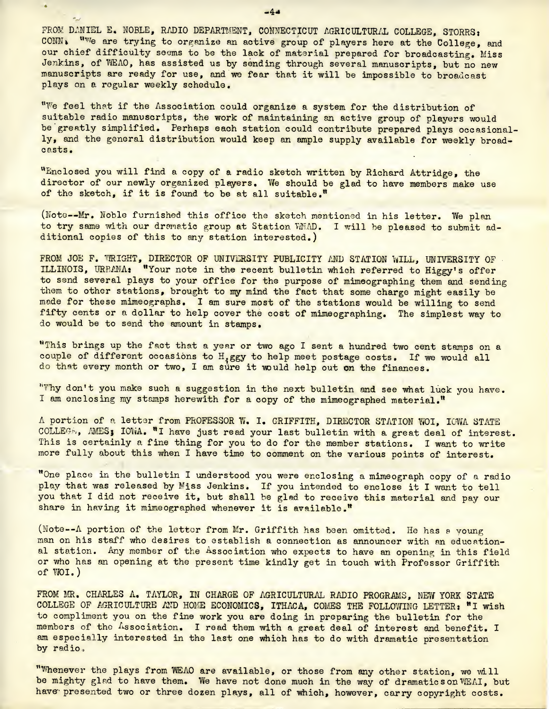FROM DANIEL E. NOBLE, RADIO DEPARTMENT, CONNECTICUT AGRICULTURAL COLLEGE. STORRS: CONN. Wwe are trying to organize an active group of players here at the College, and our chief difficulty seems to be the lack of material prepared for broadcasting. Miss Jenkins, of WEAO, has assisted us by sending through several manuscripts, but no new manuscripts are ready for use, and we fear that it will be impossible to broadcast plays on a regular weekly schedule,

"We feel that if the Association could organize a system for the distribution of suitable radio manuscripts, the work of maintaining an active group of players would be greatly simplified. Perhaps each station could contribute prepared plays occasionally, and the general distribution would keep an ample supply available for weekly broadcasts,

"Enclosed you will find a copy of a radio sketch written by Richard Attridge, the director of our newly organized players. We should be glad to have members make use of the sketch, if it is found to be at all suitable."

(Note--Mr. Noble furnished this office the sketch mentioned in his letter. We plan to try same with our dramatic group at Station WMAD. I will be pleased to submit additional copies of this to any station interested.)

FROM JOE F. WRIGHT, DIRECTOR OF UNIVERSITY PUBLICITY AND STATION WILL, UNIVERSITY OF ILLINOIS, URBANAt "Your note in the recent bulletin which referred to Higgy's offer to send several plays to your office for the purpose of mimeographing them and sending them to other stations, brought to my mind the fact that some charge might easily be made for these mimeographs. I am sure most of the stations would be willing to send fifty cents or a dollar to help cover the cost of mimeographing. The simplest way to do would be to send the amount in stamps.

"This brings up the fact that a year or two ago I sent a hundred two cent stamps on a couple of different occasions to H.ggy to help meet postage costs. If we would all do that every month or two, I am sure it would help out on the finances.

"Why don't you make such a suggestion in the next bulletin and see what luck you have. I am enclosing my stamps herewith for a copy of the mimeographed material."

<sup>A</sup> portion of a letter from PROFESSOR W. I, GRIFFITH, DIRECTOR STATION WOI, IOWA STATE COLLEGE, AMESj IOWA. "I have just read your last bulletin with a great deal of interest. This is certainly a fine thing for you to do for the member stations. I want to write more fully about this when I have time to comment on the various points of interest.

"One place in the bulletin I understood you were enclosing a mimeograph copy of a radio play that was released by Miss Jenkins. If you intended to enclose it I want to tell you that I did not receive it, but shall be glad to receive this material and pay our share in having it mimeographed whenever it is available."

(Note—A portion of the letter from Mr. Griffith has been omitted. He has <sup>a</sup> young man on his staff who desires to establish a connection as announcer with an educational station. Any member of the Association who expects to have an opening in this field or who has an opening at the present time kindly get in touch with Professor Griffith of WOI.)

FROM MR. CHARLES A. TAYLOR, IN CHARGE OF AGRICULTURAL RADIO PROGRAMS, NEW YORK STATE COLLEGE OF AGRICULTURE AND HONE ECONOMICS, ITHACA, COMES THE FOLLOWING LETTERj "I wish to compliment you on the fine work you are doing in preparing the bulletin for the members of the Association. I read them with a great deal of interest and benefit. I am especially interested in the last one which has to do with dramatic presentation by radio.

"Whenever the plays from WEAO are available, or those from any other station, we will be mighty glad to have them. We have not done much in the way of dramatic s onWEAI, but have presented two or three dozen plays, all of which, however, carry copyright costs.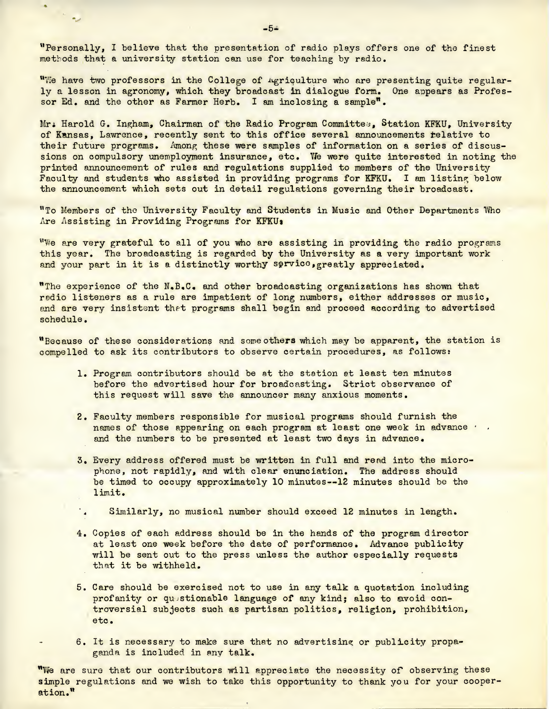''Personally, I believe that the presentation of radio plays offers one of the finest methods that a university station can use for teaching by radio.

"We have two professors in the College of agriculture who are presenting quite regularly a lesson in agronomy, which they broadcast in dialogue form. One appears as Professor Ed. and the other as Farmer Herb. I am inclosing a sample".

Mr. Harold G. Ingham, Chairman of the Radio Program Committee, Station KFKU, University of Kansas, Lawrence, recently sent to this office several announcements relative to their future programs. Among these were samples of information on a series of discussions on compulsory unemployment insurance, etc. We were quite interested in noting the printed announcement of rules and regulations supplied to members of the University Faculty and students who assisted in providing programs for KFKU. I am listing below the announcement which sets out in detail regulations governing their broadcast.

"To Members of the University Faculty and Students in Music and Other Departments Who Are Assisting in Providing Programs for KFKU:

"We are very grateful to all of you who are assisting in providing the radio programs this year. The broadcasting is regarded by the University as a very important work and your part in it is a distinctly worthy service, greatly appreciated.

"The experience of the N.B.C. and other broadcasting organizations has shown that radio listeners as a rule are impatient of long numbers, either addresses or music, and are very insistent that programs shall begin and proceed according to advertised schedule.

"Because of these considerations and some others which may be apparent, the station is compelled to ask its contributors to observe certain procedures, as follows:

- 1. Program contributors should be at the station at least ten minutes before the advertised hour for broadcasting. Strict observance of this request will save the announcer many anxious moments.
- 2. Faculty members responsible for musical programs should furnish the names of those appearing on each program at least one week in advance  $\cdot$ . and the numbers to be presented at least two days in advance.
- 3. Every address offered must be written in full and read into the microphone, not rapidly, and with clear enunciation. The address should be timed to occupy approximately 10 minutes--12 minutes should be the limit.
- Similarly, no musical number should exceed 12 minutes in length.
- 4. Copies of each address should be in the hands of the program director at least one week before the date of performance. Advance publicity will be sent out to the press unless the author especially requests that it be withheld.
- 5. Care should be exercised not to use in any talk a quotation including profanity or questionable language of any kind; also to avoid controversial subjects such as partisan politics, religion, prohibition, etc.
- 6. It is necessary to make sure that no advertising or publicity propaganda is included in any talk.

"We are sure that our contributors will appreciate the necessity oF observing these simple regulations and we wish to take this opportunity to thank you for your cooperation."

-5\*

 $\sim$   $\sim$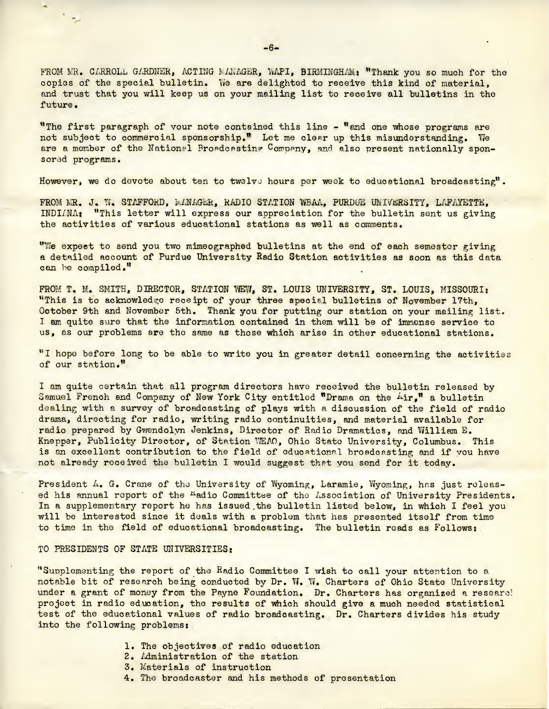FROM MR. CARROLL GARDNER, ACTING MANAGER, WAPI, BIRMINGHAM: "Thank you so much for the copies of the special bulletin. We are delighted to receive this kind of material, and trust that you will keep us on your mailing list to receive all bulletins in the future,

wThe first paragraph of your note contained this line - "and one whose programs are not subject to commercial sponsorship." Let me clear up this misunderstanding. We are a member of the National Broadcasting Company, and also present nationally sponsored programs.

However, we do devote about ten to twelve hours per week to educational broadcasting".

FROM MR. J. W, STAFFORD, MANAGER, RADIO STATION WBAA, PURDUE UNIVERSITY, LAFAYETTE, INDIANA\* "This letter will express our appreciation for the bulletin sent us giving the activities of various educational stations as well as comments.

"YJe expect to send you two mimeographed bulletins at the end of each semester giving a detailed account of Purdue University Radio Station activities as soon as this data can be compiled."

FROM T. M. SMITH, DIRECTOR, STATION WEW, ST. LOUIS UNIVERSITY, ST. LOUIS, MISSOURI: "This is to acknowledge receipt of your three special bulletins of November 17th, October 9th and November 5th. Thank you for putting our station on your mailing list, I am quite sure that the information contained in them will be of immense service to us, as our problems are the same as those which arise in other educational stations.

"1 hope before long to be able to write you in greater detail concerning the activities of our station."

I am quite certain that all program directors have received the bulletin released by Samuel French and Company of New York City entitled "Drama on the Air," a bulletin dealing with a survey of broadcasting of plays with a discussion of the field of radio drama, directing for radio, writing radio continuities, and material available for radio prepared by Gwendolyn Jenkins, Director of Radio Dramatics, and Yfilliam E. Knepper, Publicity Director, of Station WEAO, Ohio State University, Columbus. This is an excellent contribution to the field of educational broadcasting and if you have not already received the bulletin I would suggest that you send for it today.

President  $\Lambda$ . G. Crane of the University of Wyoming, Laramie. Wyoming, has just released his annual report of the <sup>K</sup>adio Committee of the Association of University Presidents. In a supplementary report he has issued the bulletin listed below, in which I feel you will be interested since it deals with <sup>a</sup> problem that has presented itself from time to time in the field of educational broadcasting. The bulletin roads as Follows:

#### TO PRESIDENTS OF STATE UNIVERSITIES:

ليو. د

''Supplementing the report of the Radio Committee I wish to call your attention to a notable bit of research being conducted by Dr. W. W. Charters of Ohio State University under a grant of money from the Payne Foundation. Dr. Charters has organized a researc! project in radio education, the results of which should give a much needed statistical test of the educational values of radio broadcasting. Dr. Charters divides his study into the following problems:

- 1. The objectives of radio education
- 2. Administration of the station
- 3. Materials of instruction
- 4. The broadcaster and his methods of presentation